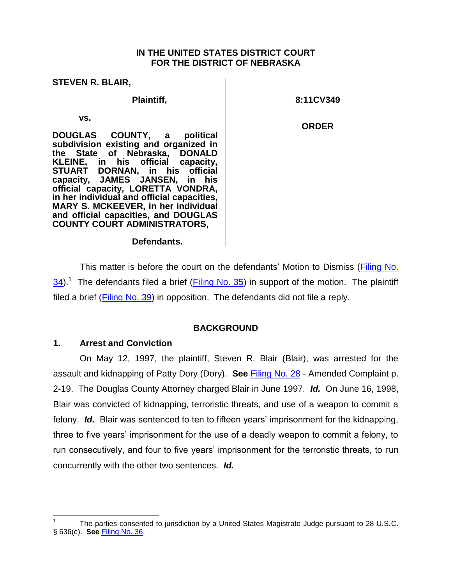### **IN THE UNITED STATES DISTRICT COURT FOR THE DISTRICT OF NEBRASKA**

| <b>STEVEN R. BLAIR,</b>                                                                                                                                                                                                                                                                                                                                                                                                            |              |
|------------------------------------------------------------------------------------------------------------------------------------------------------------------------------------------------------------------------------------------------------------------------------------------------------------------------------------------------------------------------------------------------------------------------------------|--------------|
| Plaintiff,                                                                                                                                                                                                                                                                                                                                                                                                                         | 8:11CV349    |
| VS.<br>DOUGLAS COUNTY, a<br>political<br>subdivision existing and organized in<br>the State of Nebraska, DONALD<br>KLEINE, in his official capacity,<br>STUART DORNAN, in his official<br>capacity, JAMES JANSEN, in his<br>official capacity, LORETTA VONDRA,<br>in her individual and official capacities,<br><b>MARY S. MCKEEVER, in her individual</b><br>and official capacities, and DOUGLAS<br>COUNTY COURT ADMINISTRATORS, | <b>ORDER</b> |
| Defendants.                                                                                                                                                                                                                                                                                                                                                                                                                        |              |

This matter is before the court on the defendants' Motion to Dismiss (Filing No. [34\)](https://ecf.ned.uscourts.gov/doc1/11312712088).<sup>1</sup> The defendants filed a brief (*Filing No. 35*) in support of the motion. The plaintiff filed a brief [\(Filing No. 39\)](https://ecf.ned.uscourts.gov/doc1/11312721547) in opposition. The defendants did not file a reply.

## **BACKGROUND**

# **1. Arrest and Conviction**

On May 12, 1997, the plaintiff, Steven R. Blair (Blair), was arrested for the assault and kidnapping of Patty Dory (Dory). **See** [Filing No. 28](https://ecf.ned.uscourts.gov/doc1/11302655738) - Amended Complaint p. 2-19. The Douglas County Attorney charged Blair in June 1997. *Id.* On June 16, 1998, Blair was convicted of kidnapping, terroristic threats, and use of a weapon to commit a felony. *Id.* Blair was sentenced to ten to fifteen years' imprisonment for the kidnapping, three to five years' imprisonment for the use of a deadly weapon to commit a felony, to run consecutively, and four to five years' imprisonment for the terroristic threats, to run concurrently with the other two sentences. *Id.*

 $\overline{a}$ 1 The parties consented to jurisdiction by a United States Magistrate Judge pursuant to 28 U.S.C. § 636(c). **See** [Filing No. 36.](https://ecf.ned.uscourts.gov/doc1/11312714641)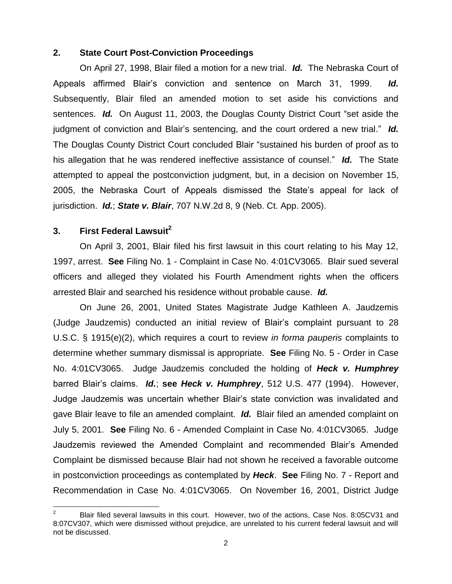### **2. State Court Post-Conviction Proceedings**

On April 27, 1998, Blair filed a motion for a new trial. *Id.* The Nebraska Court of Appeals affirmed Blair's conviction and sentence on March 31, 1999. *Id.* Subsequently, Blair filed an amended motion to set aside his convictions and sentences. *Id.* On August 11, 2003, the Douglas County District Court "set aside the judgment of conviction and Blair's sentencing, and the court ordered a new trial." *Id.* The Douglas County District Court concluded Blair "sustained his burden of proof as to his allegation that he was rendered ineffective assistance of counsel." *Id.* The State attempted to appeal the postconviction judgment, but, in a decision on November 15, 2005, the Nebraska Court of Appeals dismissed the State's appeal for lack of jurisdiction. *Id.*; *State v. Blair*, 707 N.W.2d 8, 9 (Neb. Ct. App. 2005).

## **3. First Federal Lawsuit<sup>2</sup>**

 $\overline{a}$ 

On April 3, 2001, Blair filed his first lawsuit in this court relating to his May 12, 1997, arrest. **See** Filing No. 1 - Complaint in Case No. 4:01CV3065. Blair sued several officers and alleged they violated his Fourth Amendment rights when the officers arrested Blair and searched his residence without probable cause. *Id.*

On June 26, 2001, United States Magistrate Judge Kathleen A. Jaudzemis (Judge Jaudzemis) conducted an initial review of Blair's complaint pursuant to 28 U.S.C. § 1915(e)(2), which requires a court to review *in forma pauperis* complaints to determine whether summary dismissal is appropriate. **See** Filing No. 5 - Order in Case No. 4:01CV3065. Judge Jaudzemis concluded the holding of *Heck v. Humphrey* barred Blair's claims. *Id.*; **see** *Heck v. Humphrey*, 512 U.S. 477 (1994). However, Judge Jaudzemis was uncertain whether Blair's state conviction was invalidated and gave Blair leave to file an amended complaint. *Id.* Blair filed an amended complaint on July 5, 2001. **See** Filing No. 6 - Amended Complaint in Case No. 4:01CV3065. Judge Jaudzemis reviewed the Amended Complaint and recommended Blair's Amended Complaint be dismissed because Blair had not shown he received a favorable outcome in postconviction proceedings as contemplated by *Heck*. **See** Filing No. 7 - Report and Recommendation in Case No. 4:01CV3065. On November 16, 2001, District Judge

<sup>2</sup> Blair filed several lawsuits in this court. However, two of the actions, Case Nos. 8:05CV31 and 8:07CV307, which were dismissed without prejudice, are unrelated to his current federal lawsuit and will not be discussed.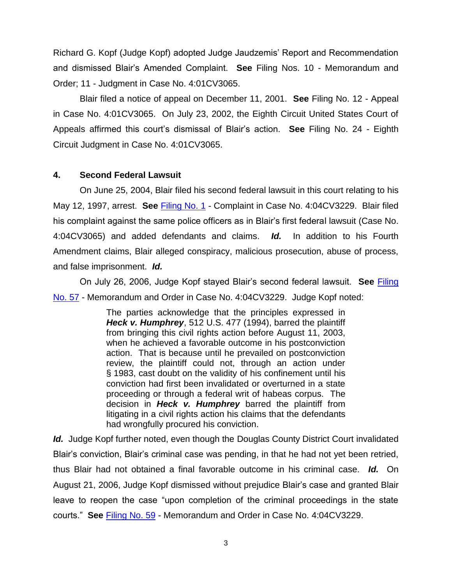Richard G. Kopf (Judge Kopf) adopted Judge Jaudzemis' Report and Recommendation and dismissed Blair's Amended Complaint. **See** Filing Nos. 10 - Memorandum and Order; 11 - Judgment in Case No. 4:01CV3065.

Blair filed a notice of appeal on December 11, 2001. **See** Filing No. 12 - Appeal in Case No. 4:01CV3065. On July 23, 2002, the Eighth Circuit United States Court of Appeals affirmed this court's dismissal of Blair's action. **See** Filing No. 24 - Eighth Circuit Judgment in Case No. 4:01CV3065.

## **4. Second Federal Lawsuit**

On June 25, 2004, Blair filed his second federal lawsuit in this court relating to his May 12, 1997, arrest. **See** [Filing No. 1](https://ecf.ned.uscourts.gov/doc1/11311032307) - Complaint in Case No. 4:04CV3229. Blair filed his complaint against the same police officers as in Blair's first federal lawsuit (Case No. 4:04CV3065) and added defendants and claims. *Id.* In addition to his Fourth Amendment claims, Blair alleged conspiracy, malicious prosecution, abuse of process, and false imprisonment. *Id.*

On July 26, 2006, Judge Kopf stayed Blair's second federal lawsuit. **See** [Filing](https://ecf.ned.uscourts.gov/doc1/1131336959)  [No. 57](https://ecf.ned.uscourts.gov/doc1/1131336959) - Memorandum and Order in Case No. 4:04CV3229. Judge Kopf noted:

> The parties acknowledge that the principles expressed in *Heck v. Humphrey*, 512 U.S. 477 (1994), barred the plaintiff from bringing this civil rights action before August 11, 2003, when he achieved a favorable outcome in his postconviction action. That is because until he prevailed on postconviction review, the plaintiff could not, through an action under § 1983, cast doubt on the validity of his confinement until his conviction had first been invalidated or overturned in a state proceeding or through a federal writ of habeas corpus. The decision in *Heck v. Humphrey* barred the plaintiff from litigating in a civil rights action his claims that the defendants had wrongfully procured his conviction.

*Id.* Judge Kopf further noted, even though the Douglas County District Court invalidated Blair's conviction, Blair's criminal case was pending, in that he had not yet been retried, thus Blair had not obtained a final favorable outcome in his criminal case. *Id.* On August 21, 2006, Judge Kopf dismissed without prejudice Blair's case and granted Blair leave to reopen the case "upon completion of the criminal proceedings in the state courts." **See** [Filing No. 59](https://ecf.ned.uscourts.gov/doc1/11311056040) - Memorandum and Order in Case No. 4:04CV3229.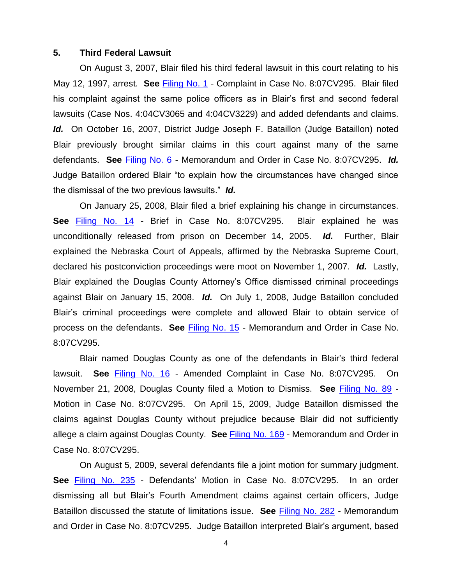### **5. Third Federal Lawsuit**

On August 3, 2007, Blair filed his third federal lawsuit in this court relating to his May 12, 1997, arrest. **See** [Filing No. 1](https://ecf.ned.uscourts.gov/doc1/11311279494) - Complaint in Case No. 8:07CV295. Blair filed his complaint against the same police officers as in Blair's first and second federal lawsuits (Case Nos. 4:04CV3065 and 4:04CV3229) and added defendants and claims. *Id.* On October 16, 2007, District Judge Joseph F. Bataillon (Judge Bataillon) noted Blair previously brought similar claims in this court against many of the same defendants. **See** [Filing No. 6](https://ecf.ned.uscourts.gov/doc1/11311321224) - Memorandum and Order in Case No. 8:07CV295. *Id.* Judge Bataillon ordered Blair "to explain how the circumstances have changed since the dismissal of the two previous lawsuits." *Id.*

On January 25, 2008, Blair filed a brief explaining his change in circumstances. **See** [Filing No. 14](https://ecf.ned.uscourts.gov/doc1/11311362983) - Brief in Case No. 8:07CV295. Blair explained he was unconditionally released from prison on December 14, 2005. *Id.* Further, Blair explained the Nebraska Court of Appeals, affirmed by the Nebraska Supreme Court, declared his postconviction proceedings were moot on November 1, 2007. *Id.* Lastly, Blair explained the Douglas County Attorney's Office dismissed criminal proceedings against Blair on January 15, 2008. *Id.* On July 1, 2008, Judge Bataillon concluded Blair's criminal proceedings were complete and allowed Blair to obtain service of process on the defendants. **See** [Filing No. 15](https://ecf.ned.uscourts.gov/doc1/11311482483) - Memorandum and Order in Case No. 8:07CV295.

Blair named Douglas County as one of the defendants in Blair's third federal lawsuit. **See** [Filing No. 16](https://ecf.ned.uscourts.gov/doc1/11311532689) - Amended Complaint in Case No. 8:07CV295. On November 21, 2008, Douglas County filed a Motion to Dismiss. **See** [Filing No. 89](https://ecf.ned.uscourts.gov/doc1/11311596675) - Motion in Case No. 8:07CV295. On April 15, 2009, Judge Bataillon dismissed the claims against Douglas County without prejudice because Blair did not sufficiently allege a claim against Douglas County. **See** [Filing No. 169](https://ecf.ned.uscourts.gov/doc1/11311715078) - Memorandum and Order in Case No. 8:07CV295.

On August 5, 2009, several defendants file a joint motion for summary judgment. **See** [Filing No. 235](https://ecf.ned.uscourts.gov/doc1/11311802234) - Defendants' Motion in Case No. 8:07CV295. In an order dismissing all but Blair's Fourth Amendment claims against certain officers, Judge Bataillon discussed the statute of limitations issue. **See** [Filing No. 282](https://ecf.ned.uscourts.gov/doc1/11311965426) - Memorandum and Order in Case No. 8:07CV295. Judge Bataillon interpreted Blair's argument, based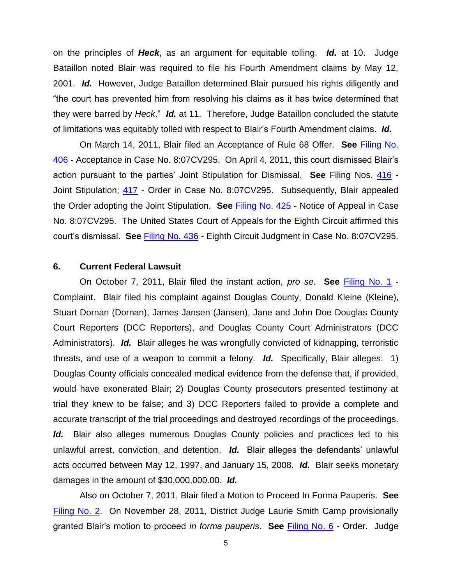on the principles of *Heck*, as an argument for equitable tolling. *Id.* at 10. Judge Bataillon noted Blair was required to file his Fourth Amendment claims by May 12, 2001. *Id.* However, Judge Bataillon determined Blair pursued his rights diligently and "the court has prevented him from resolving his claims as it has twice determined that they were barred by *Heck*." *Id.* at 11. Therefore, Judge Bataillon concluded the statute of limitations was equitably tolled with respect to Blair's Fourth Amendment claims. *Id.*

On March 14, 2011, Blair filed an Acceptance of Rule 68 Offer. **See** [Filing No.](https://ecf.ned.uscourts.gov/doc1/11312228011)  [406](https://ecf.ned.uscourts.gov/doc1/11312228011) - Acceptance in Case No. 8:07CV295. On April 4, 2011, this court dismissed Blair's action pursuant to the parties' Joint Stipulation for Dismissal. **See** Filing Nos. [416](https://ecf.ned.uscourts.gov/doc1/11312241164) - Joint Stipulation; [417](https://ecf.ned.uscourts.gov/doc1/11312241383) - Order in Case No. 8:07CV295. Subsequently, Blair appealed the Order adopting the Joint Stipulation. **See** [Filing No. 425](https://ecf.ned.uscourts.gov/doc1/11312261991) - Notice of Appeal in Case No. 8:07CV295. The United States Court of Appeals for the Eighth Circuit affirmed this court's dismissal. **See** [Filing No. 436](https://ecf.ned.uscourts.gov/doc1/11312486760) - Eighth Circuit Judgment in Case No. 8:07CV295.

#### **6. Current Federal Lawsuit**

On October 7, 2011, Blair filed the instant action, *pro se*. **See** [Filing No. 1](https://ecf.ned.uscourts.gov/doc1/11312372647) - Complaint. Blair filed his complaint against Douglas County, Donald Kleine (Kleine), Stuart Dornan (Dornan), James Jansen (Jansen), Jane and John Doe Douglas County Court Reporters (DCC Reporters), and Douglas County Court Administrators (DCC Administrators). *Id.* Blair alleges he was wrongfully convicted of kidnapping, terroristic threats, and use of a weapon to commit a felony. *Id.* Specifically, Blair alleges: 1) Douglas County officials concealed medical evidence from the defense that, if provided, would have exonerated Blair; 2) Douglas County prosecutors presented testimony at trial they knew to be false; and 3) DCC Reporters failed to provide a complete and accurate transcript of the trial proceedings and destroyed recordings of the proceedings. Id. Blair also alleges numerous Douglas County policies and practices led to his unlawful arrest, conviction, and detention. *Id.* Blair alleges the defendants' unlawful acts occurred between May 12, 1997, and January 15, 2008. *Id.* Blair seeks monetary damages in the amount of \$30,000,000.00. *Id.*

Also on October 7, 2011, Blair filed a Motion to Proceed In Forma Pauperis. **See** [Filing No. 2.](https://ecf.ned.uscourts.gov/doc1/11312372650) On November 28, 2011, District Judge Laurie Smith Camp provisionally granted Blair's motion to proceed *in forma pauperis*. **See** [Filing No. 6](https://ecf.ned.uscourts.gov/doc1/11312407153) - Order. Judge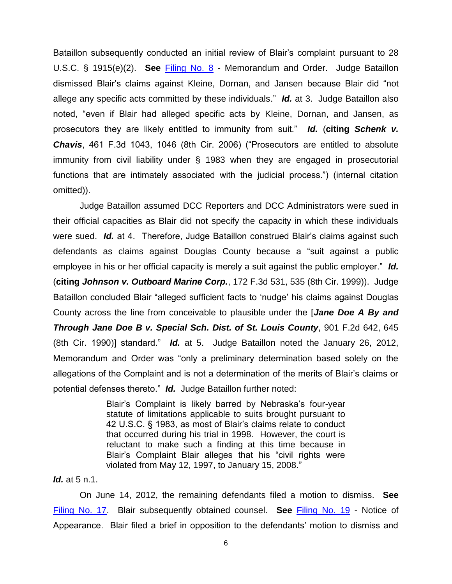Bataillon subsequently conducted an initial review of Blair's complaint pursuant to 28 U.S.C. § 1915(e)(2). **See** [Filing No. 8](https://ecf.ned.uscourts.gov/doc1/11312448221) - Memorandum and Order. Judge Bataillon dismissed Blair's claims against Kleine, Dornan, and Jansen because Blair did "not allege any specific acts committed by these individuals." *Id.* at 3. Judge Bataillon also noted, "even if Blair had alleged specific acts by Kleine, Dornan, and Jansen, as prosecutors they are likely entitled to immunity from suit." *Id.* (**citing** *Schenk v. Chavis*, 461 F.3d 1043, 1046 (8th Cir. 2006) ("Prosecutors are entitled to absolute immunity from civil liability under § 1983 when they are engaged in prosecutorial functions that are intimately associated with the judicial process.") (internal citation omitted)).

Judge Bataillon assumed DCC Reporters and DCC Administrators were sued in their official capacities as Blair did not specify the capacity in which these individuals were sued. *Id.* at 4. Therefore, Judge Bataillon construed Blair's claims against such defendants as claims against Douglas County because a "suit against a public employee in his or her official capacity is merely a suit against the public employer." *Id.* (**citing** *Johnson v. Outboard Marine Corp.*, 172 F.3d 531, 535 (8th Cir. 1999)). Judge Bataillon concluded Blair "alleged sufficient facts to 'nudge' his claims against Douglas County across the line from conceivable to plausible under the [*Jane Doe A By and Through Jane Doe B v. Special Sch. Dist. of St. Louis County*, 901 F.2d 642, 645 (8th Cir. 1990)] standard." *Id.* at 5. Judge Bataillon noted the January 26, 2012, Memorandum and Order was "only a preliminary determination based solely on the allegations of the Complaint and is not a determination of the merits of Blair's claims or potential defenses thereto." *Id.* Judge Bataillon further noted:

> Blair's Complaint is likely barred by Nebraska's four-year statute of limitations applicable to suits brought pursuant to 42 U.S.C. § 1983, as most of Blair's claims relate to conduct that occurred during his trial in 1998. However, the court is reluctant to make such a finding at this time because in Blair's Complaint Blair alleges that his "civil rights were violated from May 12, 1997, to January 15, 2008."

### *Id.* at 5 n.1.

On June 14, 2012, the remaining defendants filed a motion to dismiss. **See** [Filing No. 17.](https://ecf.ned.uscourts.gov/doc1/11302545677) Blair subsequently obtained counsel. **See** [Filing No. 19](https://ecf.ned.uscourts.gov/doc1/11312561551) - Notice of Appearance. Blair filed a brief in opposition to the defendants' motion to dismiss and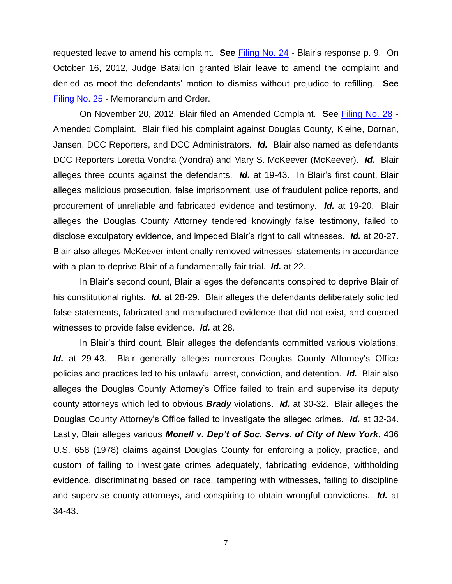requested leave to amend his complaint. **See** [Filing No. 24](https://ecf.ned.uscourts.gov/doc1/11312606384) - Blair's response p. 9. On October 16, 2012, Judge Bataillon granted Blair leave to amend the complaint and denied as moot the defendants' motion to dismiss without prejudice to refilling. **See** [Filing No. 25](https://ecf.ned.uscourts.gov/doc1/11312629600) - Memorandum and Order.

On November 20, 2012, Blair filed an Amended Complaint. **See** [Filing No. 28](https://ecf.ned.uscourts.gov/doc1/11302655738) - Amended Complaint. Blair filed his complaint against Douglas County, Kleine, Dornan, Jansen, DCC Reporters, and DCC Administrators. *Id.* Blair also named as defendants DCC Reporters Loretta Vondra (Vondra) and Mary S. McKeever (McKeever). *Id.* Blair alleges three counts against the defendants. *Id.* at 19-43. In Blair's first count, Blair alleges malicious prosecution, false imprisonment, use of fraudulent police reports, and procurement of unreliable and fabricated evidence and testimony. *Id.* at 19-20. Blair alleges the Douglas County Attorney tendered knowingly false testimony, failed to disclose exculpatory evidence, and impeded Blair's right to call witnesses. *Id.* at 20-27. Blair also alleges McKeever intentionally removed witnesses' statements in accordance with a plan to deprive Blair of a fundamentally fair trial. *Id.* at 22.

In Blair's second count, Blair alleges the defendants conspired to deprive Blair of his constitutional rights. *Id.* at 28-29. Blair alleges the defendants deliberately solicited false statements, fabricated and manufactured evidence that did not exist, and coerced witnesses to provide false evidence. *Id.* at 28.

In Blair's third count, Blair alleges the defendants committed various violations. Id. at 29-43. Blair generally alleges numerous Douglas County Attorney's Office policies and practices led to his unlawful arrest, conviction, and detention. *Id.* Blair also alleges the Douglas County Attorney's Office failed to train and supervise its deputy county attorneys which led to obvious *Brady* violations. *Id.* at 30-32. Blair alleges the Douglas County Attorney's Office failed to investigate the alleged crimes. *Id.* at 32-34. Lastly, Blair alleges various *Monell v. Dep't of Soc. Servs. of City of New York*, 436 U.S. 658 (1978) claims against Douglas County for enforcing a policy, practice, and custom of failing to investigate crimes adequately, fabricating evidence, withholding evidence, discriminating based on race, tampering with witnesses, failing to discipline and supervise county attorneys, and conspiring to obtain wrongful convictions. *Id.* at 34-43.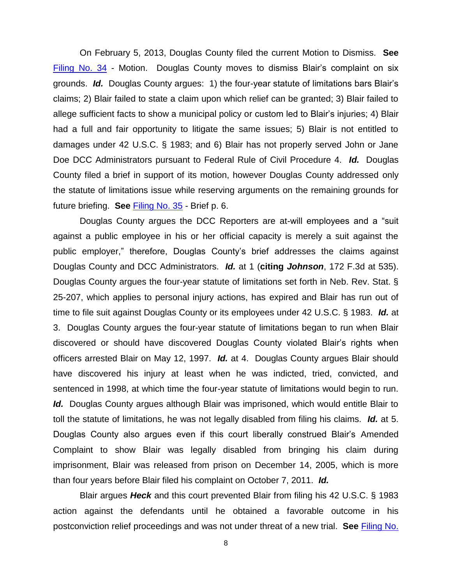On February 5, 2013, Douglas County filed the current Motion to Dismiss. **See** [Filing No. 34](https://ecf.ned.uscourts.gov/doc1/11312712088) - Motion. Douglas County moves to dismiss Blair's complaint on six grounds. *Id.* Douglas County argues: 1) the four-year statute of limitations bars Blair's claims; 2) Blair failed to state a claim upon which relief can be granted; 3) Blair failed to allege sufficient facts to show a municipal policy or custom led to Blair's injuries; 4) Blair had a full and fair opportunity to litigate the same issues; 5) Blair is not entitled to damages under 42 U.S.C. § 1983; and 6) Blair has not properly served John or Jane Doe DCC Administrators pursuant to Federal Rule of Civil Procedure 4. *Id.* Douglas County filed a brief in support of its motion, however Douglas County addressed only the statute of limitations issue while reserving arguments on the remaining grounds for future briefing. **See** [Filing No. 35](https://ecf.ned.uscourts.gov/doc1/11312712094) - Brief p. 6.

Douglas County argues the DCC Reporters are at-will employees and a "suit against a public employee in his or her official capacity is merely a suit against the public employer," therefore, Douglas County's brief addresses the claims against Douglas County and DCC Administrators. *Id.* at 1 (**citing** *Johnson*, 172 F.3d at 535). Douglas County argues the four-year statute of limitations set forth in Neb. Rev. Stat. § 25-207, which applies to personal injury actions, has expired and Blair has run out of time to file suit against Douglas County or its employees under 42 U.S.C. § 1983. *Id.* at 3. Douglas County argues the four-year statute of limitations began to run when Blair discovered or should have discovered Douglas County violated Blair's rights when officers arrested Blair on May 12, 1997. *Id.* at 4. Douglas County argues Blair should have discovered his injury at least when he was indicted, tried, convicted, and sentenced in 1998, at which time the four-year statute of limitations would begin to run. Id. Douglas County argues although Blair was imprisoned, which would entitle Blair to toll the statute of limitations, he was not legally disabled from filing his claims. *Id.* at 5. Douglas County also argues even if this court liberally construed Blair's Amended Complaint to show Blair was legally disabled from bringing his claim during imprisonment, Blair was released from prison on December 14, 2005, which is more than four years before Blair filed his complaint on October 7, 2011. *Id.*

Blair argues *Heck* and this court prevented Blair from filing his 42 U.S.C. § 1983 action against the defendants until he obtained a favorable outcome in his postconviction relief proceedings and was not under threat of a new trial. **See** [Filing No.](https://ecf.ned.uscourts.gov/doc1/11312721547)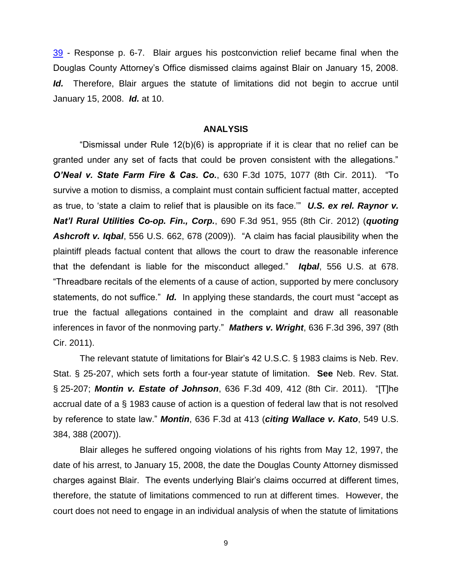[39](https://ecf.ned.uscourts.gov/doc1/11312721547) - Response p. 6-7. Blair argues his postconviction relief became final when the Douglas County Attorney's Office dismissed claims against Blair on January 15, 2008. Id. Therefore, Blair argues the statute of limitations did not begin to accrue until January 15, 2008. *Id.* at 10.

#### **ANALYSIS**

"Dismissal under Rule 12(b)(6) is appropriate if it is clear that no relief can be granted under any set of facts that could be proven consistent with the allegations." *O'Neal v. State Farm Fire & Cas. Co.*, 630 F.3d 1075, 1077 (8th Cir. 2011). "To survive a motion to dismiss, a complaint must contain sufficient factual matter, accepted as true, to 'state a claim to relief that is plausible on its face.'" *U.S. ex rel. Raynor v. Nat'l Rural Utilities Co-op. Fin., Corp.*, 690 F.3d 951, 955 (8th Cir. 2012) (*quoting Ashcroft v. Iqbal*, 556 U.S. 662, 678 (2009)). "A claim has facial plausibility when the plaintiff pleads factual content that allows the court to draw the reasonable inference that the defendant is liable for the misconduct alleged." *Iqbal*, 556 U.S. at 678. "Threadbare recitals of the elements of a cause of action, supported by mere conclusory statements, do not suffice." *Id.* In applying these standards, the court must "accept as true the factual allegations contained in the complaint and draw all reasonable inferences in favor of the nonmoving party." *Mathers v. Wright*, 636 F.3d 396, 397 (8th Cir. 2011).

The relevant statute of limitations for Blair's 42 U.S.C. § 1983 claims is Neb. Rev. Stat. § 25-207, which sets forth a four-year statute of limitation. **See** Neb. Rev. Stat. § 25-207; *Montin v. Estate of Johnson*, 636 F.3d 409, 412 (8th Cir. 2011). "[T]he accrual date of a § 1983 cause of action is a question of federal law that is not resolved by reference to state law." *Montin*, 636 F.3d at 413 (*citing Wallace v. Kato*, 549 U.S. 384, 388 (2007)).

Blair alleges he suffered ongoing violations of his rights from May 12, 1997, the date of his arrest, to January 15, 2008, the date the Douglas County Attorney dismissed charges against Blair. The events underlying Blair's claims occurred at different times, therefore, the statute of limitations commenced to run at different times. However, the court does not need to engage in an individual analysis of when the statute of limitations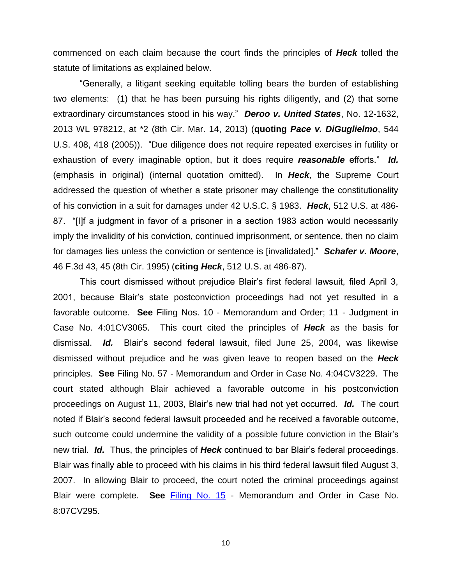commenced on each claim because the court finds the principles of *Heck* tolled the statute of limitations as explained below.

"Generally, a litigant seeking equitable tolling bears the burden of establishing two elements: (1) that he has been pursuing his rights diligently, and (2) that some extraordinary circumstances stood in his way." *Deroo v. United States*, No. 12-1632, 2013 WL 978212, at \*2 (8th Cir. Mar. 14, 2013) (**quoting** *Pace v. DiGuglielmo*, 544 U.S. 408, 418 (2005)). "Due diligence does not require repeated exercises in futility or exhaustion of every imaginable option, but it does require *reasonable* efforts." *Id.* (emphasis in original) (internal quotation omitted). In *Heck*, the Supreme Court addressed the question of whether a state prisoner may challenge the constitutionality of his conviction in a suit for damages under 42 U.S.C. § 1983. *Heck*, 512 U.S. at 486- 87. "[I]f a judgment in favor of a prisoner in a section 1983 action would necessarily imply the invalidity of his conviction, continued imprisonment, or sentence, then no claim for damages lies unless the conviction or sentence is [invalidated]." *Schafer v. Moore*, 46 F.3d 43, 45 (8th Cir. 1995) (**citing** *Heck*, 512 U.S. at 486-87).

This court dismissed without prejudice Blair's first federal lawsuit, filed April 3, 2001, because Blair's state postconviction proceedings had not yet resulted in a favorable outcome. **See** Filing Nos. 10 - Memorandum and Order; 11 - Judgment in Case No. 4:01CV3065. This court cited the principles of *Heck* as the basis for dismissal. *Id.* Blair's second federal lawsuit, filed June 25, 2004, was likewise dismissed without prejudice and he was given leave to reopen based on the *Heck* principles. **See** Filing No. 57 - Memorandum and Order in Case No. 4:04CV3229. The court stated although Blair achieved a favorable outcome in his postconviction proceedings on August 11, 2003, Blair's new trial had not yet occurred. *Id.* The court noted if Blair's second federal lawsuit proceeded and he received a favorable outcome, such outcome could undermine the validity of a possible future conviction in the Blair's new trial. *Id.* Thus, the principles of *Heck* continued to bar Blair's federal proceedings. Blair was finally able to proceed with his claims in his third federal lawsuit filed August 3, 2007. In allowing Blair to proceed, the court noted the criminal proceedings against Blair were complete. **See** [Filing No. 15](https://ecf.ned.uscourts.gov/doc1/11311482483) - Memorandum and Order in Case No. 8:07CV295.